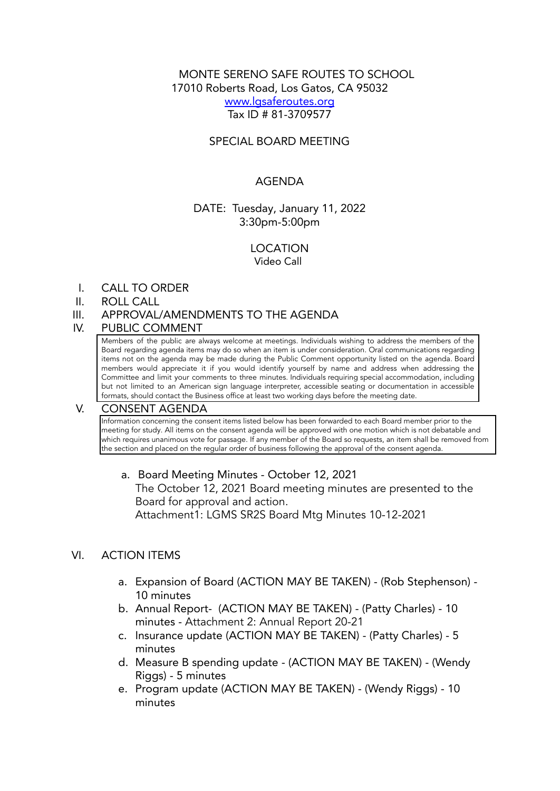# MONTE SERENO SAFE ROUTES TO SCHOOL 17010 Roberts Road, Los Gatos, CA 95032 [www.lgsaferoutes.org](http://www.lgsaferoutes.org) Tax ID # 81-3709577

# SPECIAL BOARD MEETING

# AGENDA

### DATE: Tuesday, January 11, 2022 3:30pm-5:00pm

LOCATION Video Call

I. CALL TO ORDER

#### II. ROLL CALL

### III. APPROVAL/AMENDMENTS TO THE AGENDA

#### IV. PUBLIC COMMENT

Members of the public are always welcome at meetings. Individuals wishing to address the members of the Board regarding agenda items may do so when an item is under consideration. Oral communications regarding items not on the agenda may be made during the Public Comment opportunity listed on the agenda. Board members would appreciate it if you would identify yourself by name and address when addressing the Committee and limit your comments to three minutes. Individuals requiring special accommodation, including but not limited to an American sign language interpreter, accessible seating or documentation in accessible formats, should contact the Business office at least two working days before the meeting date.

### V. CONSENT AGENDA

Information concerning the consent items listed below has been forwarded to each Board member prior to the meeting for study. All items on the consent agenda will be approved with one motion which is not debatable and which requires unanimous vote for passage. If any member of the Board so requests, an item shall be removed from the section and placed on the regular order of business following the approval of the consent agenda.

### a. Board Meeting Minutes - October 12, 2021

The October 12, 2021 Board meeting minutes are presented to the Board for approval and action. Attachment1: LGMS SR2S Board Mtg Minutes 10-12-2021

### VI. ACTION ITEMS

- a. Expansion of Board (ACTION MAY BE TAKEN) (Rob Stephenson) 10 minutes
- b. Annual Report- (ACTION MAY BE TAKEN) (Patty Charles) 10 minutes - Attachment 2: Annual Report 20-21
- c. Insurance update (ACTION MAY BE TAKEN) (Patty Charles) 5 minutes
- d. Measure B spending update (ACTION MAY BE TAKEN) (Wendy Riggs) - 5 minutes
- e. Program update (ACTION MAY BE TAKEN) (Wendy Riggs) 10 minutes